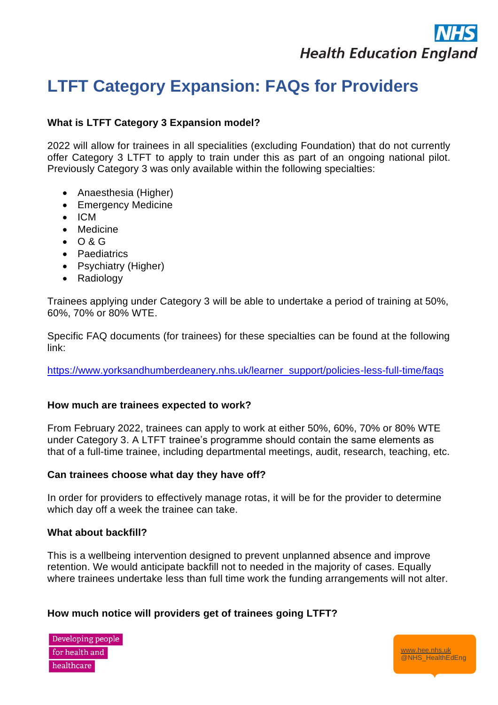# **Health Education England**

[www.hee.nhs.uk](http://www.hee.nhs.uk/) @NHS\_HealthEdEng

# **LTFT Category Expansion: FAQs for Providers**

# **What is LTFT Category 3 Expansion model?**

2022 will allow for trainees in all specialities (excluding Foundation) that do not currently offer Category 3 LTFT to apply to train under this as part of an ongoing national pilot. Previously Category 3 was only available within the following specialties:

- Anaesthesia (Higher)
- Emergency Medicine
- ICM
- Medicine
- O & G
- Paediatrics
- Psychiatry (Higher)
- Radiology

Trainees applying under Category 3 will be able to undertake a period of training at 50%, 60%, 70% or 80% WTE.

Specific FAQ documents (for trainees) for these specialties can be found at the following link:

[https://www.yorksandhumberdeanery.nhs.uk/learner\\_support/policies-less-full-time/faqs](https://www.yorksandhumberdeanery.nhs.uk/learner_support/policies-less-full-time/faqs)

# **How much are trainees expected to work?**

From February 2022, trainees can apply to work at either 50%, 60%, 70% or 80% WTE under Category 3. A LTFT trainee's programme should contain the same elements as that of a full-time trainee, including departmental meetings, audit, research, teaching, etc.

# **Can trainees choose what day they have off?**

In order for providers to effectively manage rotas, it will be for the provider to determine which day off a week the trainee can take.

# **What about backfill?**

This is a wellbeing intervention designed to prevent unplanned absence and improve retention. We would anticipate backfill not to needed in the majority of cases. Equally where trainees undertake less than full time work the funding arrangements will not alter.

# **How much notice will providers get of trainees going LTFT?**

Developing people for health and healthcare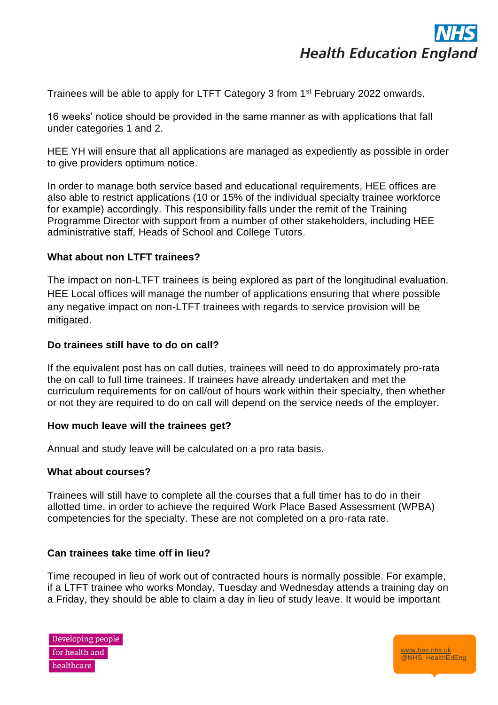

Trainees will be able to apply for LTFT Category 3 from 1<sup>st</sup> February 2022 onwards.

16 weeks' notice should be provided in the same manner as with applications that fall under categories 1 and 2.

HEE YH will ensure that all applications are managed as expediently as possible in order to give providers optimum notice.

In order to manage both service based and educational requirements, HEE offices are also able to restrict applications (10 or 15% of the individual specialty trainee workforce for example) accordingly. This responsibility falls under the remit of the Training Programme Director with support from a number of other stakeholders, including HEE administrative staff, Heads of School and College Tutors.

# **What about non LTFT trainees?**

The impact on non-LTFT trainees is being explored as part of the longitudinal evaluation. HEE Local offices will manage the number of applications ensuring that where possible any negative impact on non-LTFT trainees with regards to service provision will be mitigated.

# **Do trainees still have to do on call?**

If the equivalent post has on call duties, trainees will need to do approximately pro-rata the on call to full time trainees. If trainees have already undertaken and met the curriculum requirements for on call/out of hours work within their specialty, then whether or not they are required to do on call will depend on the service needs of the employer.

# **How much leave will the trainees get?**

Annual and study leave will be calculated on a pro rata basis.

# **What about courses?**

Trainees will still have to complete all the courses that a full timer has to do in their allotted time, in order to achieve the required Work Place Based Assessment (WPBA) competencies for the specialty. These are not completed on a pro-rata rate.

# **Can trainees take time off in lieu?**

Time recouped in lieu of work out of contracted hours is normally possible. For example, if a LTFT trainee who works Monday, Tuesday and Wednesday attends a training day on a Friday, they should be able to claim a day in lieu of study leave. It would be important